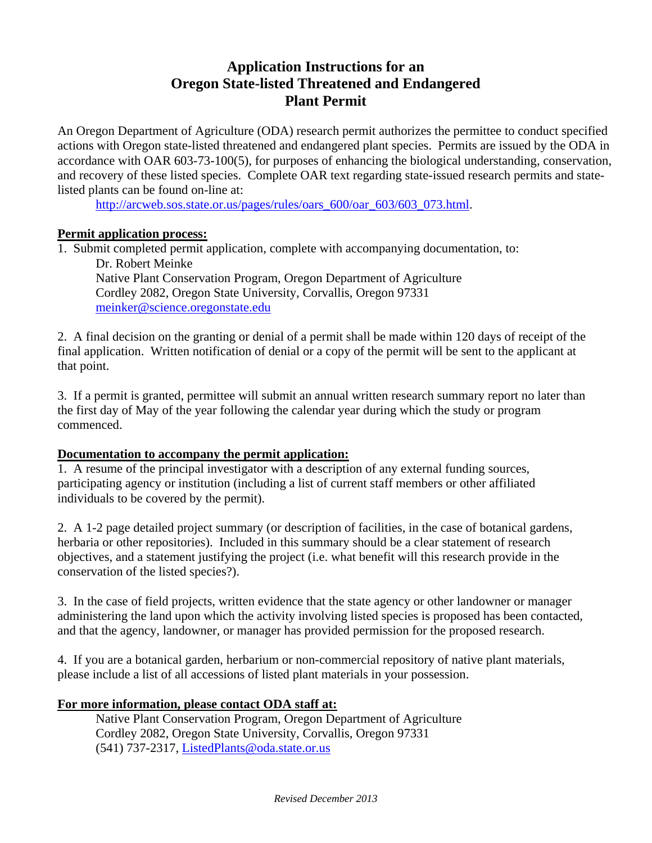# **Application Instructions for an Oregon State-listed Threatened and Endangered Plant Permit**

An Oregon Department of Agriculture (ODA) research permit authorizes the permittee to conduct specified actions with Oregon state-listed threatened and endangered plant species. Permits are issued by the ODA in accordance with OAR 603-73-100(5), for purposes of enhancing the biological understanding, conservation, and recovery of these listed species. Complete OAR text regarding state-issued research permits and statelisted plants can be found on-line at:

http://arcweb.sos.state.or.us/pages/rules/oars\_600/oar\_603/603\_073.html.

### **Permit application process:**

1. Submit completed permit application, complete with accompanying documentation, to: Dr. Robert Meinke Native Plant Conservation Program, Oregon Department of Agriculture Cordley 2082, Oregon State University, Corvallis, Oregon 97331 meinker@science.oregonstate.edu

2. A final decision on the granting or denial of a permit shall be made within 120 days of receipt of the final application. Written notification of denial or a copy of the permit will be sent to the applicant at that point.

3. If a permit is granted, permittee will submit an annual written research summary report no later than the first day of May of the year following the calendar year during which the study or program commenced.

#### **Documentation to accompany the permit application:**

1. A resume of the principal investigator with a description of any external funding sources, participating agency or institution (including a list of current staff members or other affiliated individuals to be covered by the permit).

2. A 1-2 page detailed project summary (or description of facilities, in the case of botanical gardens, herbaria or other repositories). Included in this summary should be a clear statement of research objectives, and a statement justifying the project (i.e. what benefit will this research provide in the conservation of the listed species?).

3. In the case of field projects, written evidence that the state agency or other landowner or manager administering the land upon which the activity involving listed species is proposed has been contacted, and that the agency, landowner, or manager has provided permission for the proposed research.

4. If you are a botanical garden, herbarium or non-commercial repository of native plant materials, please include a list of all accessions of listed plant materials in your possession.

### **For more information, please contact ODA staff at:**

Native Plant Conservation Program, Oregon Department of Agriculture Cordley 2082, Oregon State University, Corvallis, Oregon 97331 (541) 737-2317, ListedPlants@oda.state.or.us